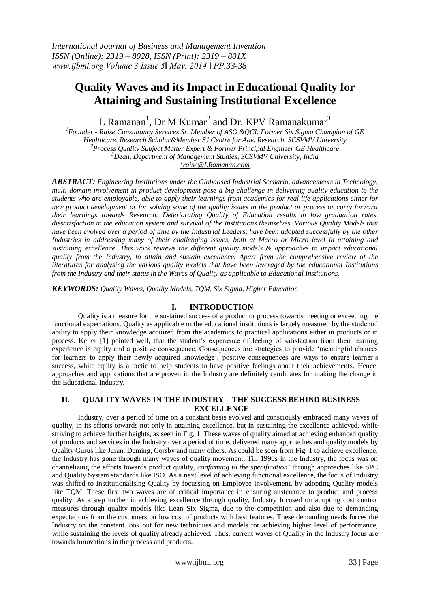# **Quality Waves and its Impact in Educational Quality for Attaining and Sustaining Institutional Excellence**

L Ramanan<sup>1</sup>, Dr M Kumar<sup>2</sup> and Dr. KPV Ramanakumar<sup>3</sup>

*Founder - Raise Consultancy Services,Sr. Member of ASQ &QCI, Former Six Sigma Champion of GE Healthcare, Research Scholar&Member SJ Centre for Adv. Research, SCSVMV University Process Quality Subject Matter Expert & Former Principal Engineer GE Healthcare Dean, Department of Management Studies, SCSVMV University, India [raise@LRamanan.com](mailto:1raise@LRamanan.com)*

*ABSTRACT: Engineering Institutions under the Globalised Industrial Scenario, advancements in Technology, multi domain involvement in product development pose a big challenge in delivering quality education to the students who are employable, able to apply their learnings from academics for real life applications either for new product development or for solving some of the quality issues in the product or process or carry forward their learnings towards Research. Deteriorating Quality of Education results in low graduation rates, dissatisfaction in the education system and survival of the Institutions themselves. Various Quality Models that have been evolved over a period of time by the Industrial Leaders, have been adopted successfully by the other Industries in addressing many of their challenging issues, both at Macro or Micro level in attaining and sustaining excellence. This work reviews the different quality models & approaches to impact educational quality from the Industry, to attain and sustain excellence. Apart from the comprehensive review of the literatures for analysing the various quality models that have been leveraged by the educational Institutions from the Industry and their status in the Waves of Quality as applicable to Educational Institutions.*

*KEYWORDS: Quality Waves, Quality Models, TQM, Six Sigma, Higher Education* 

# **I. INTRODUCTION**

Quality is a measure for the sustained success of a product or process towards meeting or exceeding the functional expectations. Quality as applicable to the educational institutions is largely measured by the students" ability to apply their knowledge acquired from the academics to practical applications either in products or in process. Keller [1] pointed well, that the student"s experience of feeling of satisfaction from their learning experience is equity and a positive consequence. Consequences are strategies to provide "meaningful chances for learners to apply their newly acquired knowledge'; positive consequences are ways to ensure learner's success, while equity is a tactic to help students to have positive feelings about their achievements. Hence, approaches and applications that are proven in the Industry are definitely candidates for making the change in the Educational Industry.

### **II. QUALITY WAVES IN THE INDUSTRY – THE SUCCESS BEHIND BUSINESS EXCELLENCE**

Industry, over a period of time on a constant basis evolved and consciously embraced many waves of quality, in its efforts towards not only in attaining excellence, but in sustaining the excellence achieved, while striving to achieve further heights, as seen in Fig. 1. These waves of quality aimed at achieving enhanced quality of products and services in the Industry over a period of time, delivered many approaches and quality models by Quality Gurus like Juran, Deming, Corsby and many others. As could be seen from Fig. 1 to achieve excellence, the Industry has gone through many waves of quality movement. Till 1990s in the Industry, the focus was on channelizing the efforts towards product quality,*'confirming to the specification'* through approaches like SPC and Quality System standards like ISO. As a next level of achieving functional excellence, the focus of Industry was shifted to Institutionalising Quality by focussing on Employee involvement, by adopting Quality models like TQM. These first two waves are of critical importance in ensuring sustenance to product and process quality. As a step further in achieving excellence through quality, Industry focused on adopting cost control measures through quality models like Lean Six Sigma, due to the competition and also due to demanding expectations from the customers on low cost of products with best features. These demanding needs forces the Industry on the constant look out for new techniques and models for achieving higher level of performance, while sustaining the levels of quality already achieved. Thus, current waves of Quality in the Industry focus are towards Innovations in the process and products.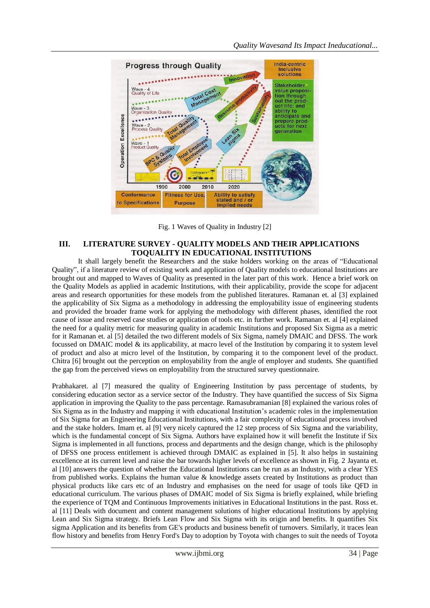

Fig. 1 Waves of Quality in Industry [2]

### **III. LITERATURE SURVEY - QUALITY MODELS AND THEIR APPLICATIONS TOQUALITY IN EDUCATIONAL INSTITUTIONS**

It shall largely benefit the Researchers and the stake holders working on the areas of "Educational Quality", if a literature review of existing work and application of Quality models to educational Institutions are brought out and mapped to Waves of Quality as presented in the later part of this work. Hence a brief work on the Quality Models as applied in academic Institutions, with their applicability, provide the scope for adjacent areas and research opportunities for these models from the published literatures. Ramanan et. al [3] explained the applicability of Six Sigma as a methodology in addressing the employability issue of engineering students and provided the broader frame work for applying the methodology with different phases, identified the root cause of issue and reserved case studies or application of tools etc. in further work. Ramanan et. al [4] explained the need for a quality metric for measuring quality in academic Institutions and proposed Six Sigma as a metric for it Ramanan et. al [5] detailed the two different models of Six Sigma, namely DMAIC and DFSS. The work focussed on DMAIC model & its applicability, at macro level of the Institution by comparing it to system level of product and also at micro level of the Institution, by comparing it to the component level of the product. Chitra [6] brought out the perception on employability from the angle of employer and students. She quantified the gap from the perceived views on employability from the structured survey questionnaire.

Prabhakaret. al [7] measured the quality of Engineering Institution by pass percentage of students, by considering education sector as a service sector of the Industry. They have quantified the success of Six Sigma application in improving the Quality to the pass percentage. Ramasubramanian [8] explained the various roles of Six Sigma as in the Industry and mapping it with educational Institution"s academic roles in the implementation of Six Sigma for an Engineering Educational Institutions, with a fair complexity of educational process involved and the stake holders. Imam et. al [9] very nicely captured the 12 step process of Six Sigma and the variability, which is the fundamental concept of Six Sigma. Authors have explained how it will benefit the Institute if Six Sigma is implemented in all functions, process and departments and the design change, which is the philosophy of DFSS one process entitlement is achieved through DMAIC as explained in [5]. It also helps in sustaining excellence at its current level and raise the bar towards higher levels of excellence as shown in Fig. 2 Jayanta et. al [10] answers the question of whether the Educational Institutions can be run as an Industry, with a clear YES from published works. Explains the human value & knowledge assets created by Institutions as product than physical products like cars etc of an Industry and emphasises on the need for usage of tools like QFD in educational curriculum. The various phases of DMAIC model of Six Sigma is briefly explained, while briefing the experience of TQM and Continuous Improvements initiatives in Educational Institutions in the past. Ross et. al [11] Deals with document and content management solutions of higher educational Institutions by applying Lean and Six Sigma strategy. Briefs Lean Flow and Six Sigma with its origin and benefits. It quantifies Six sigma Application and its benefits from GE's products and business benefit of turnovers. Similarly, it traces lean flow history and benefits from Henry Ford's Day to adoption by Toyota with changes to suit the needs of Toyota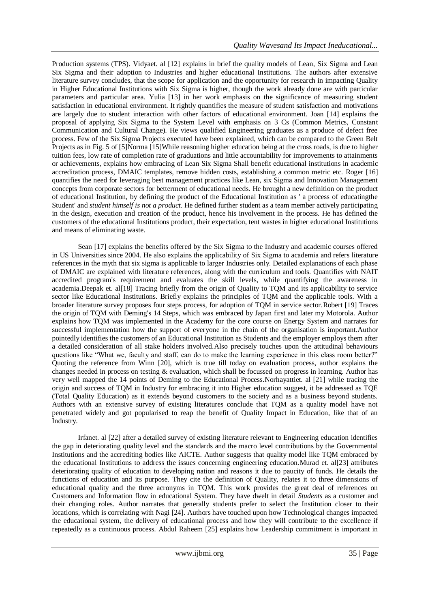Production systems (TPS). Vidyaet. al [12] explains in brief the quality models of Lean, Six Sigma and Lean Six Sigma and their adoption to Industries and higher educational Institutions. The authors after extensive literature survey concludes, that the scope for application and the opportunity for research in impacting Quality in Higher Educational Institutions with Six Sigma is higher, though the work already done are with particular parameters and particular area. Yulia [13] in her work emphasis on the significance of measuring student satisfaction in educational environment. It rightly quantifies the measure of student satisfaction and motivations are largely due to student interaction with other factors of educational environment. Joan [14] explains the proposal of applying Six Sigma to the System Level with emphasis on 3 Cs (Common Metrics, Constant Communication and Cultural Change). He views qualified Engineering graduates as a produce of defect free process. Few of the Six Sigma Projects executed have been explained, which can be compared to the Green Belt Projects as in Fig. 5 of [5]Norma [15]While reasoning higher education being at the cross roads, is due to higher tuition fees, low rate of completion rate of graduations and little accountability for improvements to attainments or achievements, explains how embracing of Lean Six Sigma Shall benefit educational institutions in academic accreditation process, DMAIC templates, remove hidden costs, establishing a common metric etc. Roger [16] quantifies the need for leveraging best management practices like Lean, six Sigma and Innovation Management concepts from corporate sectors for betterment of educational needs. He brought a new definition on the product of educational Institution, by defining the product of the Educational Institution as ' a process of educatingthe Student' and *student himself is not a product*. He defined further student as a team member actively participating in the design, execution and creation of the product, hence his involvement in the process. He has defined the customers of the educational Institutions product, their expectation, tent wastes in higher educational Institutions and means of eliminating waste.

Sean [17] explains the benefits offered by the Six Sigma to the Industry and academic courses offered in US Universities since 2004. He also explains the applicability of Six Sigma to academia and refers literature references in the myth that six sigma is applicable to larger Industries only. Detailed explanations of each phase of DMAIC are explained with literature references, along with the curriculum and tools. Quantifies with NAIT accredited program's requirement and evaluates the skill levels, while quantifying the awareness in academia.Deepak et. al[18] Tracing briefly from the origin of Quality to TQM and its applicability to service sector like Educational Institutions. Briefly explains the principles of TQM and the applicable tools. With a broader literature survey proposes four steps process, for adoption of TQM in service sector.Robert [19] Traces the origin of TQM with Deming's 14 Steps, which was embraced by Japan first and later my Motorola. Author explains how TQM was implemented in the Academy for the core course on Energy System and narrates for successful implementation how the support of everyone in the chain of the organisation is important.Author pointedly identifies the customers of an Educational Institution as Students and the employer employs them after a detailed consideration of all stake holders involved.Also precisely touches upon the attitudinal behaviours questions like "What we, faculty and staff, can do to make the learning experience in this class room better?" Quoting the reference from Winn [20], which is true till today on evaluation process, author explains the changes needed in process on testing & evaluation, which shall be focussed on progress in learning. Author has very well mapped the 14 points of Deming to the Educational Process.Norhayattiet. al [21] while tracing the origin and success of TQM in Industry for embracing it into Higher education suggest, it be addressed as TQE (Total Quality Education) as it extends beyond customers to the society and as a business beyond students. Authors with an extensive survey of existing literatures conclude that TQM as a quality model have not penetrated widely and got popularised to reap the benefit of Quality Impact in Education, like that of an Industry.

Irfanet. al [22] after a detailed survey of existing literature relevant to Engineering education identifies the gap in deteriorating quality level and the standards and the macro level contributions by the Governmental Institutions and the accrediting bodies like AICTE. Author suggests that quality model like TQM embraced by the educational Institutions to address the issues concerning engineering education.Murad et. al[23] attributes deteriorating quality of education to developing nation and reasons it due to paucity of funds. He details the functions of education and its purpose. They cite the definition of Quality, relates it to three dimensions of educational quality and the three acronyms in TQM. This work provides the great deal of references on Customers and Information flow in educational System. They have dwelt in detail *Students* as a customer and their changing roles. Author narrates that generally students prefer to select the Institution closer to their locations, which is correlating with Nagi [24]. Authors have touched upon how Technological changes impacted the educational system, the delivery of educational process and how they will contribute to the excellence if repeatedly as a continuous process. Abdul Raheem [25] explains how Leadership commitment is important in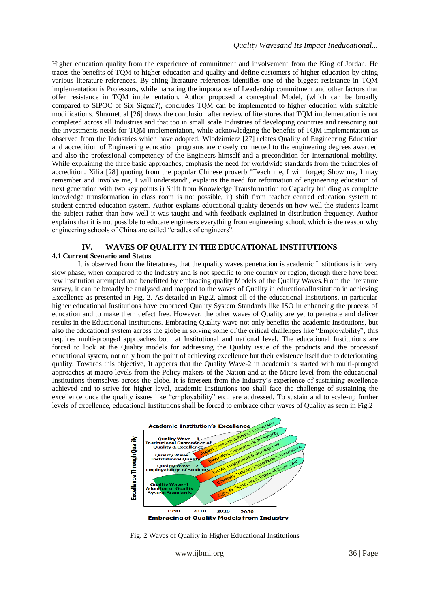Higher education quality from the experience of commitment and involvement from the King of Jordan. He traces the benefits of TQM to higher education and quality and define customers of higher education by citing various literature references. By citing literature references identifies one of the biggest resistance in TQM implementation is Professors, while narrating the importance of Leadership commitment and other factors that offer resistance in TQM implementation. Author proposed a conceptual Model, (which can be broadly compared to SIPOC of Six Sigma?), concludes TQM can be implemented to higher education with suitable modifications. Shramet. al [26] draws the conclusion after review of literatures that TQM implementation is not completed across all Industries and that too in small scale Industries of developing countries and reasoning out the investments needs for TQM implementation, while acknowledging the benefits of TQM implementation as observed from the Industries which have adopted. Wlodzimierz [27] relates Quality of Engineering Education and accredition of Engineering education programs are closely connected to the engineering degrees awarded and also the professional competency of the Engineers himself and a precondition for International mobility. While explaining the three basic approaches, emphasis the need for worldwide standards from the principles of accredition. Xilia [28] quoting from the popular Chinese proverb "Teach me, I will forget; Show me, I may remember and Involve me, I will understand", explains the need for reformation of engineering education of next generation with two key points i) Shift from Knowledge Transformation to Capacity building as complete knowledge transformation in class room is not possible, ii) shift from teacher centred education system to student centred education system. Author explains educational quality depends on how well the students learnt the subject rather than how well it was taught and with feedback explained in distribution frequency. Author explains that it is not possible to educate engineers everything from engineering school, which is the reason why engineering schools of China are called "cradles of engineers".

# **IV. WAVES OF QUALITY IN THE EDUCATIONAL INSTITUTIONS 4.1 Current Scenario and Status**

It is observed from the literatures, that the quality waves penetration is academic Institutions is in very slow phase, when compared to the Industry and is not specific to one country or region, though there have been few Institution attempted and benefitted by embracing quality Models of the Quality Waves.From the literature survey, it can be broadly be analysed and mapped to the waves of Quality in educationalInstitution in achieving Excellence as presented in Fig. 2. As detailed in Fig.2, almost all of the educational Institutions, in particular higher educational Institutions have embraced Quality System Standards like ISO in enhancing the process of education and to make them defect free. However, the other waves of Quality are yet to penetrate and deliver results in the Educational Institutions. Embracing Quality wave not only benefits the academic Institutions, but also the educational system across the globe in solving some of the critical challenges like "Employability", this requires multi-pronged approaches both at Institutional and national level. The educational Institutions are forced to look at the Quality models for addressing the Quality issue of the products and the processof educational system, not only from the point of achieving excellence but their existence itself due to deteriorating quality. Towards this objective, It appears that the Quality Wave-2 in academia is started with multi-pronged approaches at macro levels from the Policy makers of the Nation and at the Micro level from the educational Institutions themselves across the globe. It is foreseen from the Industry"s experience of sustaining excellence achieved and to strive for higher level, academic Institutions too shall face the challenge of sustaining the excellence once the quality issues like "employability" etc., are addressed. To sustain and to scale-up further levels of excellence, educational Institutions shall be forced to embrace other waves of Quality as seen in Fig.2



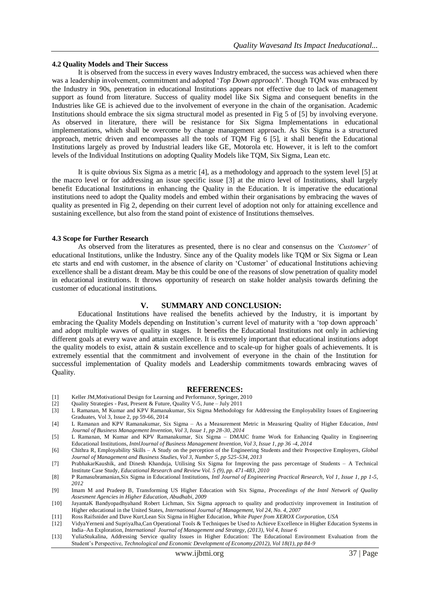#### **4.2 Quality Models and Their Success**

It is observed from the success in every waves Industry embraced, the success was achieved when there was a leadership involvement, commitment and adopted "*Top Down approach*". Though TQM was embraced by the Industry in 90s, penetration in educational Institutions appears not effective due to lack of management support as found from literature. Success of quality model like Six Sigma and consequent benefits in the Industries like GE is achieved due to the involvement of everyone in the chain of the organisation. Academic Institutions should embrace the six sigma structural model as presented in Fig 5 of [5] by involving everyone. As observed in literature, there will be resistance for Six Sigma Implementations in educational implementations, which shall be overcome by change management approach. As Six Sigma is a structured approach, metric driven and encompasses all the tools of TQM Fig 6 [5], it shall benefit the Educational Institutions largely as proved by Industrial leaders like GE, Motorola etc. However, it is left to the comfort levels of the Individual Institutions on adopting Quality Models like TQM, Six Sigma, Lean etc.

It is quite obvious Six Sigma as a metric [4], as a methodology and approach to the system level [5] at the macro level or for addressing an issue specific issue [3] at the micro level of Institutions, shall largely benefit Educational Institutions in enhancing the Quality in the Education. It is imperative the educational institutions need to adopt the Quality models and embed within their organisations by embracing the waves of quality as presented in Fig 2, depending on their current level of adoption not only for attaining excellence and sustaining excellence, but also from the stand point of existence of Institutions themselves.

### **4.3 Scope for Further Research**

As observed from the literatures as presented, there is no clear and consensus on the *'Customer'* of educational Institutions, unlike the Industry. Since any of the Quality models like TQM or Six Sigma or Lean etc starts and end with customer, in the absence of clarity on "Customer" of educational Institutions achieving excellence shall be a distant dream. May be this could be one of the reasons of slow penetration of quality model in educational institutions. It throws opportunity of research on stake holder analysis towards defining the customer of educational institutions.

### **V. SUMMARY AND CONCLUSION:**

Educational Institutions have realised the benefits achieved by the Industry, it is important by embracing the Quality Models depending on Institution"s current level of maturity with a "top down approach" and adopt multiple waves of quality in stages. It benefits the Educational Institutions not only in achieving different goals at every wave and attain excellence. It is extremely important that educational institutions adopt the quality models to exist, attain & sustain excellence and to scale-up for higher goals of achievements. It is extremely essential that the commitment and involvement of everyone in the chain of the Institution for successful implementation of Quality models and Leadership commitments towards embracing waves of Quality.

#### **REFERENCES:**

- [1] Keller JM,Motivational Design for Learning and Performance, Springer, 2010
- [2] Quality Strategies Past, Present & Future, Quality V-5, June July 2011
- [3] L Ramanan, M Kumar and KPV Ramanakumar, Six Sigma Methodology for Addressing the Employability Issues of Engineering Graduates, Vol 3, Issue 2, pp 59-66, 2014
- [4] L Ramanan and KPV Ramanakumar, Six Sigma As a Measurement Metric in Measuring Quality of Higher Education, *Intnl Journal of Business Management Invention, Vol 3, Issue 1, pp 28-30, 2014*
- [5] L Ramanan, M Kumar and KPV Ramanakumar, Six Sigma DMAIC frame Work for Enhancing Quality in Engineering Educational Institutions, *IntnlJournal of Business Management Invention, Vol 3, Issue 1, pp 36 -4, 2014*
- [6] Chithra R, Employability Skills A Study on the perception of the Engineering Students and their Prospective Employers, *Global Journal of Management and Business Studies, Vol 3, Number 5, pp 525-534, 2013*
- [7] PrabhakarKaushik, and Dinesh Khanduja, Utilising Six Sigma for Improving the pass percentage of Students A Technical Institute Case Study, *Educational Research and Review Vol. 5 (9), pp. 471-483, 2010*
- [8] P Ramasubramanian,Six Sigma in Educational Institutions, *Intl Journal of Engineering Practical Research, Vol 1, Issue 1, pp 1-5, 2012*
- [9] Imam M and Pradeep B, Transforming US Higher Education with Six Sigma, *Proceedings of the Intnl Network of Quality Assesment Agencies in Higher Education, Abudhabi, 2009*
- [10] JayantaK Bandyopadhyahand Robert Lichman, Six Sigma approach to quality and productivity improvement in Institution of Higher educational in the United States, *International Journal of Management, Vol 24, No. 4, 2007*
- [11] Ross Raifsnider and Dave Kurt,Lean Six Sigma in Higher Education*, White Paper from XEROX Corporation, USA*
- [12] VidyaYerneni and SupriyaJha,Can Operational Tools & Techniques be Used to Achieve Excellence in Higher Education Systems in India–An Exploration*, International Journal of Management and Strategy, (2013), Vol 4, Issue 6*
- [13] YuliaStukalina, Addressing Service quality Issues in Higher Education: The Educational Environment Evaluation from the Student"s Perspective, *Technological and Economic Development of Economy,(2012), Vol 18(1), pp 84-9*